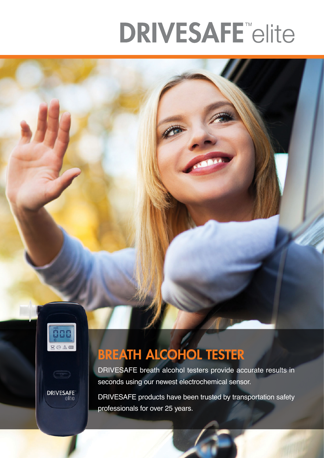# **DRIVESAFE** elite



**DRIVESAFE**<br>elite

## BREATH ALCOHOL TESTER

DRIVESAFE breath alcohol testers provide accurate results in seconds using our newest electrochemical sensor.

DRIVESAFE products have been trusted by transportation safety professionals for over 25 years.